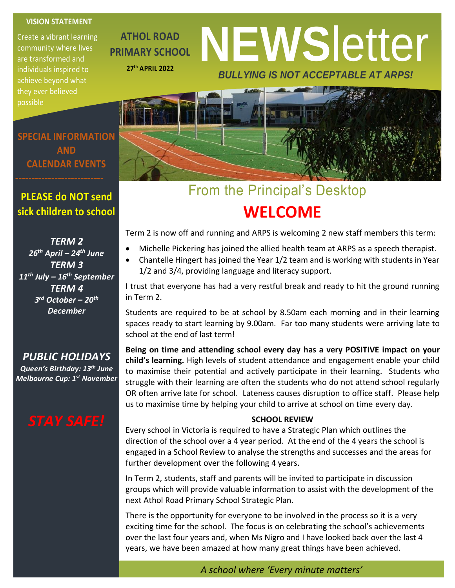### **VISION STATEMENT**

Create a vibrant learning community where lives are transformed and individuals inspired to achieve beyond what they ever believed possible

**ATHOL ROAD PRIMARY SCHOOL 27th APRIL 2022**

# **NEWS**letter *BULLYING IS NOT ACCEPTABLE AT ARPS!*



### From the Principal's Desktop **WELCOME**

Term 2 is now off and running and ARPS is welcoming 2 new staff members this term:

- Michelle Pickering has joined the allied health team at ARPS as a speech therapist.
- Chantelle Hingert has joined the Year 1/2 team and is working with students in Year 1/2 and 3/4, providing language and literacy support.

I trust that everyone has had a very restful break and ready to hit the ground running in Term 2.

Students are required to be at school by 8.50am each morning and in their learning spaces ready to start learning by 9.00am. Far too many students were arriving late to school at the end of last term!

**Being on time and attending school every day has a very POSITIVE impact on your child's learning.** High levels of student attendance and engagement enable your child to maximise their potential and actively participate in their learning. Students who struggle with their learning are often the students who do not attend school regularly OR often arrive late for school. Lateness causes disruption to office staff. Please help us to maximise time by helping your child to arrive at school on time every day.

#### **SCHOOL REVIEW**

Every school in Victoria is required to have a Strategic Plan which outlines the direction of the school over a 4 year period. At the end of the 4 years the school is engaged in a School Review to analyse the strengths and successes and the areas for further development over the following 4 years.

In Term 2, students, staff and parents will be invited to participate in discussion groups which will provide valuable information to assist with the development of the next Athol Road Primary School Strategic Plan.

There is the opportunity for everyone to be involved in the process so it is a very exciting time for the school. The focus is on celebrating the school's achievements over the last four years and, when Ms Nigro and I have looked back over the last 4 years, we have been amazed at how many great things have been achieved.

*A school where 'Every minute matters'*

**SPECIAL INFORMATION AND CALENDAR EVENTS**

### **PLEASE do NOT send sick children to school**

*TERM 2 26th April – 24th June TERM 3 11th July – 16th September TERM 4 3 rd October – 20th December*

*PUBLIC HOLIDAYS Queen's Birthday: 13th June Melbourne Cup: 1st November*